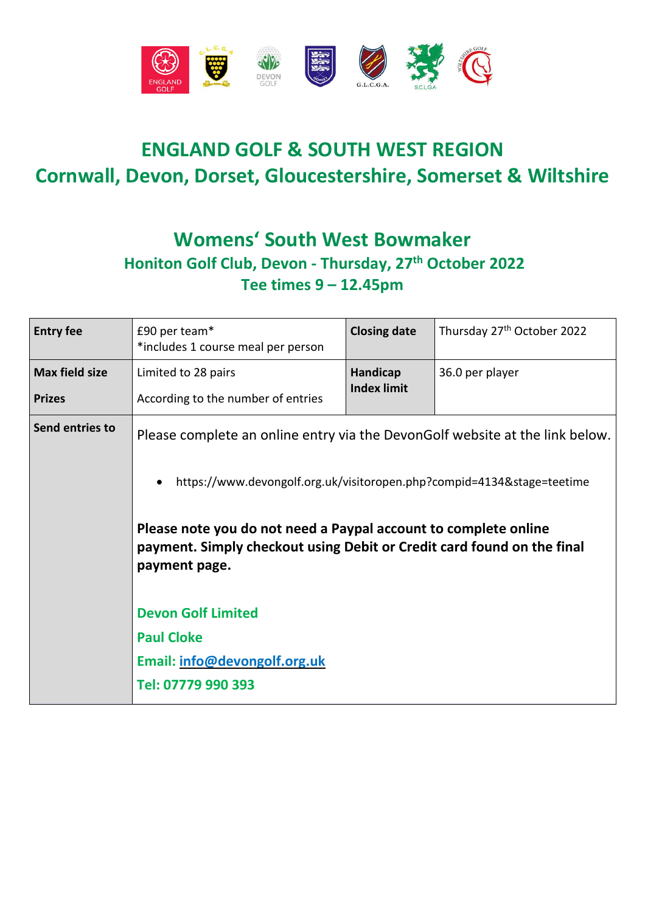

## **ENGLAND GOLF & SOUTH WEST REGION Cornwall, Devon, Dorset, Gloucestershire, Somerset & Wiltshire**

### **Womens' South West Bowmaker Honiton Golf Club, Devon - Thursday, 27 th October 2022 Tee times 9 – 12.45pm**

| <b>Entry fee</b>      | £90 per team*<br>*includes 1 course meal per person                                                                                                                                                                                                                                                                                                            | <b>Closing date</b>            | Thursday 27 <sup>th</sup> October 2022 |
|-----------------------|----------------------------------------------------------------------------------------------------------------------------------------------------------------------------------------------------------------------------------------------------------------------------------------------------------------------------------------------------------------|--------------------------------|----------------------------------------|
| <b>Max field size</b> | Limited to 28 pairs                                                                                                                                                                                                                                                                                                                                            | Handicap<br><b>Index limit</b> | 36.0 per player                        |
| <b>Prizes</b>         | According to the number of entries                                                                                                                                                                                                                                                                                                                             |                                |                                        |
| Send entries to       | Please complete an online entry via the DevonGolf website at the link below.<br>https://www.devongolf.org.uk/visitoropen.php?compid=4134&stage=teetime<br>$\bullet$<br>Please note you do not need a Paypal account to complete online<br>payment. Simply checkout using Debit or Credit card found on the final<br>payment page.<br><b>Devon Golf Limited</b> |                                |                                        |
|                       |                                                                                                                                                                                                                                                                                                                                                                |                                |                                        |
|                       |                                                                                                                                                                                                                                                                                                                                                                |                                |                                        |
|                       |                                                                                                                                                                                                                                                                                                                                                                |                                |                                        |
|                       | <b>Paul Cloke</b>                                                                                                                                                                                                                                                                                                                                              |                                |                                        |
|                       | Email: info@devongolf.org.uk                                                                                                                                                                                                                                                                                                                                   |                                |                                        |
|                       | Tel: 07779 990 393                                                                                                                                                                                                                                                                                                                                             |                                |                                        |